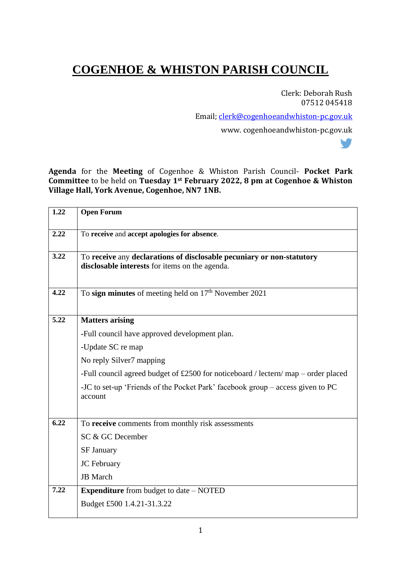## **COGENHOE & WHISTON PARISH COUNCIL**

Clerk: Deborah Rush 07512 045418

V

Email; [clerk@cogenhoeandwhiston-pc.gov.uk](mailto:clerk@cogenhoeandwhiston-pc.gov.uk)

www. cogenhoeandwhiston-pc.gov.uk

**Agenda** for the **Meeting** of Cogenhoe & Whiston Parish Council- **Pocket Park Committee** to be held on **Tuesday 1st February 2022, 8 pm at Cogenhoe & Whiston Village Hall, York Avenue, Cogenhoe, NN7 1NB.**

| 1.22 | <b>Open Forum</b>                                                                                                       |
|------|-------------------------------------------------------------------------------------------------------------------------|
| 2.22 | To receive and accept apologies for absence.                                                                            |
| 3.22 | To receive any declarations of disclosable pecuniary or non-statutory<br>disclosable interests for items on the agenda. |
| 4.22 | To sign minutes of meeting held on 17 <sup>th</sup> November 2021                                                       |
| 5.22 | <b>Matters arising</b>                                                                                                  |
|      | -Full council have approved development plan.                                                                           |
|      | -Update SC re map                                                                                                       |
|      | No reply Silver7 mapping                                                                                                |
|      | -Full council agreed budget of £2500 for noticeboard / lectern/ map – order placed                                      |
|      | -JC to set-up 'Friends of the Pocket Park' facebook group – access given to PC<br>account                               |
| 6.22 | To receive comments from monthly risk assessments                                                                       |
|      | SC & GC December                                                                                                        |
|      | <b>SF January</b>                                                                                                       |
|      | <b>JC</b> February                                                                                                      |
|      | <b>JB</b> March                                                                                                         |
| 7.22 | <b>Expenditure</b> from budget to date – NOTED                                                                          |
|      | Budget £500 1.4.21-31.3.22                                                                                              |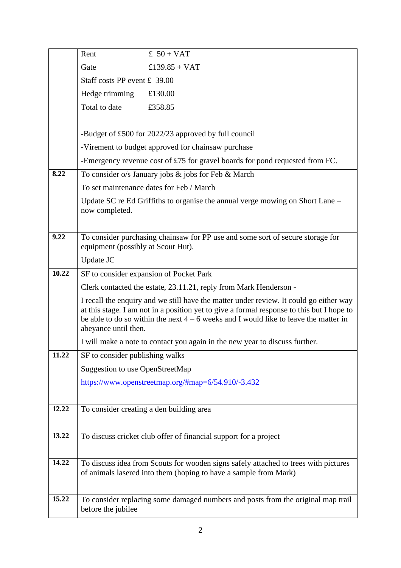|       | Rent                                                                                                                                                                                | £ $50 + VAT$                                                                                                                                            |  |
|-------|-------------------------------------------------------------------------------------------------------------------------------------------------------------------------------------|---------------------------------------------------------------------------------------------------------------------------------------------------------|--|
|       | Gate                                                                                                                                                                                | £139.85 + VAT                                                                                                                                           |  |
|       | Staff costs PP event £ 39.00                                                                                                                                                        |                                                                                                                                                         |  |
|       | Hedge trimming                                                                                                                                                                      | £130.00                                                                                                                                                 |  |
|       | Total to date                                                                                                                                                                       | £358.85                                                                                                                                                 |  |
|       |                                                                                                                                                                                     |                                                                                                                                                         |  |
|       |                                                                                                                                                                                     | -Budget of £500 for 2022/23 approved by full council                                                                                                    |  |
|       | -Virement to budget approved for chainsaw purchase                                                                                                                                  |                                                                                                                                                         |  |
|       |                                                                                                                                                                                     | -Emergency revenue cost of £75 for gravel boards for pond requested from FC.                                                                            |  |
| 8.22  |                                                                                                                                                                                     | To consider o/s January jobs & jobs for Feb & March                                                                                                     |  |
|       | To set maintenance dates for Feb / March                                                                                                                                            |                                                                                                                                                         |  |
|       |                                                                                                                                                                                     | Update SC re Ed Griffiths to organise the annual verge mowing on Short Lane -                                                                           |  |
|       | now completed.                                                                                                                                                                      |                                                                                                                                                         |  |
|       |                                                                                                                                                                                     |                                                                                                                                                         |  |
| 9.22  | To consider purchasing chainsaw for PP use and some sort of secure storage for<br>equipment (possibly at Scout Hut).                                                                |                                                                                                                                                         |  |
|       | Update JC                                                                                                                                                                           |                                                                                                                                                         |  |
| 10.22 |                                                                                                                                                                                     | SF to consider expansion of Pocket Park                                                                                                                 |  |
|       | Clerk contacted the estate, 23.11.21, reply from Mark Henderson -                                                                                                                   |                                                                                                                                                         |  |
|       | I recall the enquiry and we still have the matter under review. It could go either way<br>at this stage. I am not in a position yet to give a formal response to this but I hope to |                                                                                                                                                         |  |
|       | abeyance until then.                                                                                                                                                                | be able to do so within the next $4 - 6$ weeks and I would like to leave the matter in                                                                  |  |
|       |                                                                                                                                                                                     | I will make a note to contact you again in the new year to discuss further.                                                                             |  |
| 11.22 | SF to consider publishing walks                                                                                                                                                     |                                                                                                                                                         |  |
|       | Suggestion to use OpenStreetMap                                                                                                                                                     |                                                                                                                                                         |  |
|       |                                                                                                                                                                                     | https://www.openstreetmap.org/#map=6/54.910/-3.432                                                                                                      |  |
|       |                                                                                                                                                                                     |                                                                                                                                                         |  |
| 12.22 |                                                                                                                                                                                     | To consider creating a den building area                                                                                                                |  |
|       |                                                                                                                                                                                     |                                                                                                                                                         |  |
| 13.22 |                                                                                                                                                                                     | To discuss cricket club offer of financial support for a project                                                                                        |  |
|       |                                                                                                                                                                                     |                                                                                                                                                         |  |
| 14.22 |                                                                                                                                                                                     | To discuss idea from Scouts for wooden signs safely attached to trees with pictures<br>of animals lasered into them (hoping to have a sample from Mark) |  |
|       |                                                                                                                                                                                     |                                                                                                                                                         |  |
| 15.22 |                                                                                                                                                                                     | To consider replacing some damaged numbers and posts from the original map trail                                                                        |  |
|       | before the jubilee                                                                                                                                                                  |                                                                                                                                                         |  |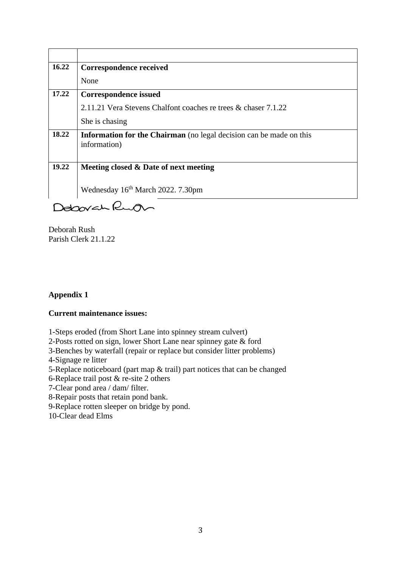| 16.22       | <b>Correspondence received</b>                                                      |  |
|-------------|-------------------------------------------------------------------------------------|--|
|             | None                                                                                |  |
| 17.22       | <b>Correspondence issued</b>                                                        |  |
|             | 2.11.21 Vera Stevens Chalfont coaches re trees & chaser 7.1.22                      |  |
|             | She is chasing                                                                      |  |
| 18.22       | Information for the Chairman (no legal decision can be made on this<br>information) |  |
| 19.22       | Meeting closed & Date of next meeting                                               |  |
|             |                                                                                     |  |
|             | Wednesday 16 <sup>th</sup> March 2022. 7.30pm                                       |  |
| Deboorch le |                                                                                     |  |

Deborah Rush Parish Clerk 21.1.22

## **Appendix 1**

## **Current maintenance issues:**

1-Steps eroded (from Short Lane into spinney stream culvert)

2-Posts rotted on sign, lower Short Lane near spinney gate & ford

3-Benches by waterfall (repair or replace but consider litter problems)

4-Signage re litter

5-Replace noticeboard (part map & trail) part notices that can be changed

6-Replace trail post & re-site 2 others

7-Clear pond area / dam/ filter.

8-Repair posts that retain pond bank.

9-Replace rotten sleeper on bridge by pond.

10-Clear dead Elms